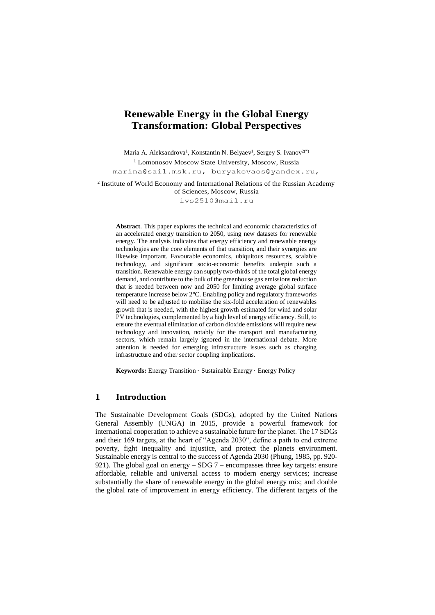# **Renewable Energy in the Global Energy Transformation: Global Perspectives**

Maria A. Aleksandrova<sup>1</sup>, Konstantin N. Belyaev<sup>1</sup>, Sergey S. Ivanov<sup>2(\*)</sup> <sup>1</sup> Lomonosov Moscow State University, Moscow, Russia marina@sail.msk.ru, buryakovaos@yandex.ru,

<sup>2</sup> Institute of World Economy and International Relations of the Russian Academy

of Sciences, Moscow, Russia ivs2510@mail.ru

**Abstract**. This paper explores the technical and economic characteristics of an accelerated energy transition to 2050, using new datasets for renewable energy. The analysis indicates that energy efficiency and renewable energy technologies are the core elements of that transition, and their synergies are likewise important. Favourable economics, ubiquitous resources, scalable technology, and significant socio-economic benefits underpin such a transition. Renewable energy can supply two-thirds of the total global energy demand, and contribute to the bulk of the greenhouse gas emissions reduction that is needed between now and 2050 for limiting average global surface temperature increase below 2°C. Enabling policy and regulatory frameworks will need to be adjusted to mobilise the six-fold acceleration of renewables growth that is needed, with the highest growth estimated for wind and solar PV technologies, complemented by a high level of energy efficiency. Still, to ensure the eventual elimination of carbon dioxide emissions will require new technology and innovation, notably for the transport and manufacturing sectors, which remain largely ignored in the international debate. More attention is needed for emerging infrastructure issues such as charging infrastructure and other sector coupling implications.

**Keywords:** Energy Transition · Sustainable Energy · Energy Policy

## **1 Introduction**

The Sustainable Development Goals (SDGs), adopted by the United Nations General Assembly (UNGA) in 2015, provide a powerful framework for international cooperation to achieve a sustainable future for the planet. The 17 SDGs and their 169 targets, at the heart of "Agenda 2030", define a path to end extreme poverty, fight inequality and injustice, and protect the planets environment. Sustainable energy is central to the success of Agenda 2030 (Phung, 1985, pp. 920- 921). The global goal on energy – SDG 7 – encompasses three key targets: ensure affordable, reliable and universal access to modern energy services; increase substantially the share of renewable energy in the global energy mix; and double the global rate of improvement in energy efficiency. The different targets of the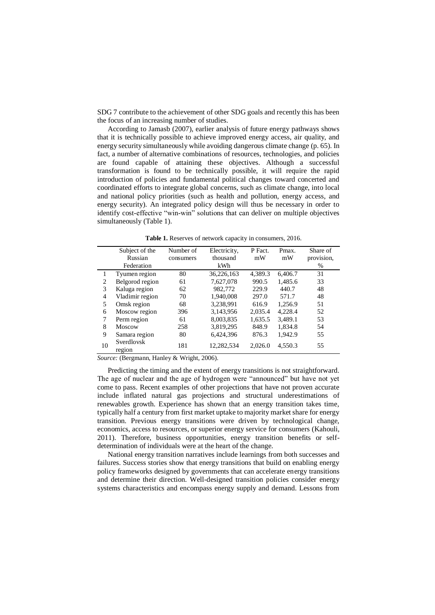SDG 7 contribute to the achievement of other SDG goals and recently this has been the focus of an increasing number of studies.

According to Jamasb (2007), earlier analysis of future energy pathways shows that it is technically possible to achieve improved energy access, air quality, and energy security simultaneously while avoiding dangerous climate change (p. 65). In fact, a number of alternative combinations of resources, technologies, and policies are found capable of attaining these objectives. Although a successful transformation is found to be technically possible, it will require the rapid introduction of policies and fundamental political changes toward concerted and coordinated efforts to integrate global concerns, such as climate change, into local and national policy priorities (such as health and pollution, energy access, and energy security). An integrated policy design will thus be necessary in order to identify cost-effective "win-win" solutions that can deliver on multiple objectives simultaneously (Table 1).

**Table 1.** Reserves of network capacity in consumers, 2016.

|    | Subject of the       | Number of | Electricity, | P Fact. | Pmax.   | Share of   |
|----|----------------------|-----------|--------------|---------|---------|------------|
|    | Russian              | consumers | thousand     | mW      | mW      | provision, |
|    | Federation           |           | kWh          |         |         | $\%$       |
|    | Tyumen region        | 80        | 36,226,163   | 4,389.3 | 6,406.7 | 31         |
| 2  | Belgorod region      | 61        | 7.627.078    | 990.5   | 1,485.6 | 33         |
| 3  | Kaluga region        | 62        | 982,772      | 229.9   | 440.7   | 48         |
| 4  | Vladimir region      | 70        | 1,940,008    | 297.0   | 571.7   | 48         |
| 5  | Omsk region          | 68        | 3,238,991    | 616.9   | 1,256.9 | 51         |
| 6  | Moscow region        | 396       | 3,143,956    | 2,035.4 | 4,228.4 | 52         |
| 7  | Perm region          | 61        | 8.003.835    | 1,635.5 | 3.489.1 | 53         |
| 8  | <b>Moscow</b>        | 258       | 3,819,295    | 848.9   | 1,834.8 | 54         |
| 9  | Samara region        | 80        | 6.424.396    | 876.3   | 1.942.9 | 55         |
| 10 | Sverdlovsk<br>region | 181       | 12,282,534   | 2,026.0 | 4,550.3 | 55         |

*Source:* (Bergmann, Hanley & Wright, 2006).

Predicting the timing and the extent of energy transitions is not straightforward. The age of nuclear and the age of hydrogen were "announced" but have not yet come to pass. Recent examples of other projections that have not proven accurate include inflated natural gas projections and structural underestimations of renewables growth. Experience has shown that an energy transition takes time, typically half a century from first market uptake to majority market share for energy transition. Previous energy transitions were driven by technological change, economics, access to resources, or superior energy service for consumers (Kahouli, 2011). Therefore, business opportunities, energy transition benefits or selfdetermination of individuals were at the heart of the change.

National energy transition narratives include learnings from both successes and failures. Success stories show that energy transitions that build on enabling energy policy frameworks designed by governments that can accelerate energy transitions and determine their direction. Well-designed transition policies consider energy systems characteristics and encompass energy supply and demand. Lessons from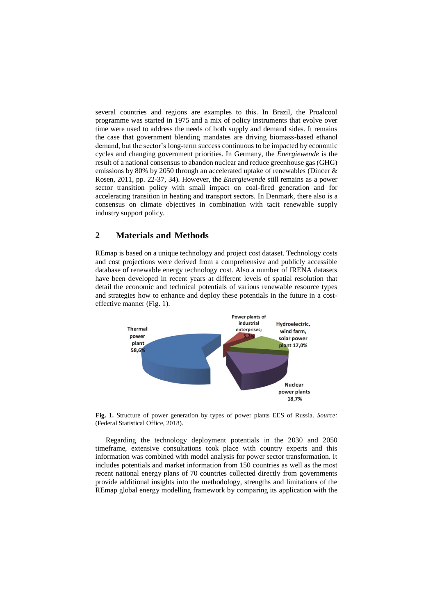several countries and regions are examples to this. In Brazil, the Proalcool programme was started in 1975 and a mix of policy instruments that evolve over time were used to address the needs of both supply and demand sides. It remains the case that government blending mandates are driving biomass-based ethanol demand, but the sector's long-term success continuous to be impacted by economic cycles and changing government priorities. In Germany, the *Energiewende* is the result of a national consensus to abandon nuclear and reduce greenhouse gas (GHG) emissions by 80% by 2050 through an accelerated uptake of renewables (Dincer & Rosen, 2011, pp. 22-37, 34). However, the *Energiewende* still remains as a power sector transition policy with small impact on coal-fired generation and for accelerating transition in heating and transport sectors. In Denmark, there also is a consensus on climate objectives in combination with tacit renewable supply industry support policy.

# **2 Materials and Methods**

REmap is based on a unique technology and project cost dataset. Technology costs and cost projections were derived from a comprehensive and publicly accessible database of renewable energy technology cost. Also a number of IRENA datasets have been developed in recent years at different levels of spatial resolution that detail the economic and technical potentials of various renewable resource types and strategies how to enhance and deploy these potentials in the future in a costeffective manner (Fig. 1).



**Fig. 1.** Structure of power generation by types of power plants EES of Russia. *Source:* (Federal Statistical Office, 2018).

Regarding the technology deployment potentials in the 2030 and 2050 timeframe, extensive consultations took place with country experts and this information was combined with model analysis for power sector transformation. It includes potentials and market information from 150 countries as well as the most recent national energy plans of 70 countries collected directly from governments provide additional insights into the methodology, strengths and limitations of the REmap global energy modelling framework by comparing its application with the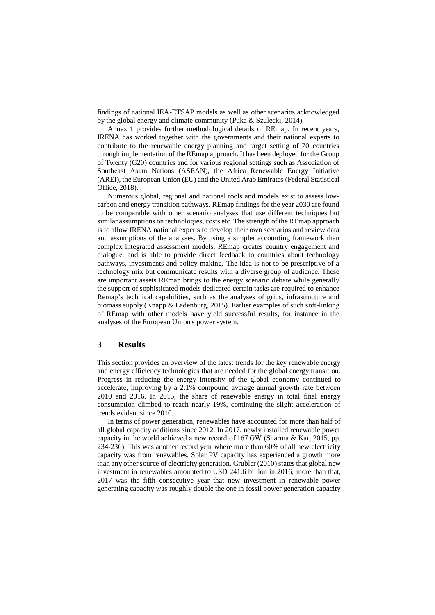findings of national IEA-ETSAP models as well as other scenarios acknowledged by the global energy and climate community (Puka & Szulecki, 2014).

Annex 1 provides further methodological details of REmap. In recent years, IRENA has worked together with the governments and their national experts to contribute to the renewable energy planning and target setting of 70 countries through implementation of the REmap approach. It has been deployed for the Group of Twenty (G20) countries and for various regional settings such as Association of Southeast Asian Nations (ASEAN), the Africa Renewable Energy Initiative (AREI), the European Union (EU) and the United Arab Emirates (Federal Statistical Office, 2018).

Numerous global, regional and national tools and models exist to assess lowcarbon and energy transition pathways. REmap findings for the year 2030 are found to be comparable with other scenario analyses that use different techniques but similar assumptions on technologies, costs etc. The strength of the REmap approach is to allow IRENA national experts to develop their own scenarios and review data and assumptions of the analyses. By using a simpler accounting framework than complex integrated assessment models, REmap creates country engagement and dialogue, and is able to provide direct feedback to countries about technology pathways, investments and policy making. The idea is not to be prescriptive of a technology mix but communicate results with a diverse group of audience. These are important assets REmap brings to the energy scenario debate while generally the support of sophisticated models dedicated certain tasks are required to enhance Remap's technical capabilities, such as the analyses of grids, infrastructure and biomass supply (Knapp & Ladenburg, 2015). Earlier examples of such soft-linking of REmap with other models have yield successful results, for instance in the analyses of the European Union's power system.

# **3 Results**

This section provides an overview of the latest trends for the key renewable energy and energy efficiency technologies that are needed for the global energy transition. Progress in reducing the energy intensity of the global economy continued to accelerate, improving by a 2.1% compound average annual growth rate between 2010 and 2016. In 2015, the share of renewable energy in total final energy consumption climbed to reach nearly 19%, continuing the slight acceleration of trends evident since 2010.

In terms of power generation, renewables have accounted for more than half of all global capacity additions since 2012. In 2017, newly installed renewable power capacity in the world achieved a new record of 167 GW (Sharma & Kar, 2015, pp. 234-236). This was another record year where more than 60% of all new electricity capacity was from renewables. Solar PV capacity has experienced a growth more than any other source of electricity generation. Grubler (2010) states that global new investment in renewables amounted to USD 241.6 billion in 2016; more than that, 2017 was the fifth consecutive year that new investment in renewable power generating capacity was roughly double the one in fossil power generation capacity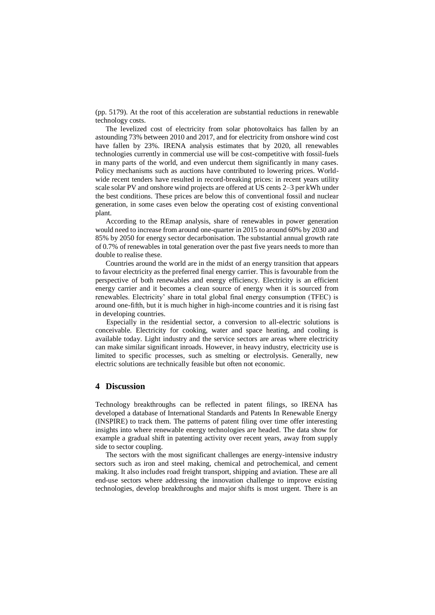(pp. 5179). At the root of this acceleration are substantial reductions in renewable technology costs.

The levelized cost of electricity from solar photovoltaics has fallen by an astounding 73% between 2010 and 2017, and for electricity from onshore wind cost have fallen by 23%. IRENA analysis estimates that by 2020, all renewables technologies currently in commercial use will be cost-competitive with fossil-fuels in many parts of the world, and even undercut them significantly in many cases. Policy mechanisms such as auctions have contributed to lowering prices. Worldwide recent tenders have resulted in record-breaking prices: in recent years utility scale solar PV and onshore wind projects are offered at US cents 2–3 per kWh under the best conditions. These prices are below this of conventional fossil and nuclear generation, in some cases even below the operating cost of existing conventional plant.

According to the REmap analysis, share of renewables in power generation would need to increase from around one-quarter in 2015 to around 60% by 2030 and 85% by 2050 for energy sector decarbonisation. The substantial annual growth rate of 0.7% of renewables in total generation over the past five years needs to more than double to realise these.

Countries around the world are in the midst of an energy transition that appears to favour electricity as the preferred final energy carrier. This is favourable from the perspective of both renewables and energy efficiency. Electricity is an efficient energy carrier and it becomes a clean source of energy when it is sourced from renewables. Electricity' share in total global final energy consumption (TFEC) is around one-fifth, but it is much higher in high-income countries and it is rising fast in developing countries.

Especially in the residential sector, a conversion to all-electric solutions is conceivable. Electricity for cooking, water and space heating, and cooling is available today. Light industry and the service sectors are areas where electricity can make similar significant inroads. However, in heavy industry, electricity use is limited to specific processes, such as smelting or electrolysis. Generally, new electric solutions are technically feasible but often not economic.

#### **4 Discussion**

Technology breakthroughs can be reflected in patent filings, so IRENA has developed a database of International Standards and Patents In Renewable Energy (INSPIRE) to track them. The patterns of patent filing over time offer interesting insights into where renewable energy technologies are headed. The data show for example a gradual shift in patenting activity over recent years, away from supply side to sector coupling.

The sectors with the most significant challenges are energy-intensive industry sectors such as iron and steel making, chemical and petrochemical, and cement making. It also includes road freight transport, shipping and aviation. These are all end-use sectors where addressing the innovation challenge to improve existing technologies, develop breakthroughs and major shifts is most urgent. There is an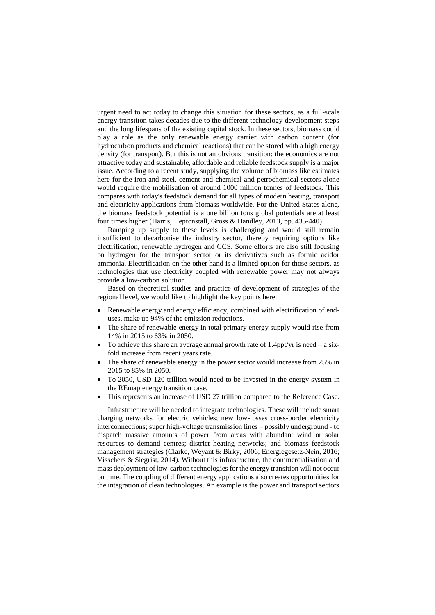urgent need to act today to change this situation for these sectors, as a full-scale energy transition takes decades due to the different technology development steps and the long lifespans of the existing capital stock. In these sectors, biomass could play a role as the only renewable energy carrier with carbon content (for hydrocarbon products and chemical reactions) that can be stored with a high energy density (for transport). But this is not an obvious transition: the economics are not attractive today and sustainable, affordable and reliable feedstock supply is a major issue. According to a recent study, supplying the volume of biomass like estimates here for the iron and steel, cement and chemical and petrochemical sectors alone would require the mobilisation of around 1000 million tonnes of feedstock. This compares with today's feedstock demand for all types of modern heating, transport and electricity applications from biomass worldwide. For the United States alone, the biomass feedstock potential is a one billion tons global potentials are at least four times higher (Harris, Heptonstall, Gross & Handley, 2013, pp. 435-440).

Ramping up supply to these levels is challenging and would still remain insufficient to decarbonise the industry sector, thereby requiring options like electrification, renewable hydrogen and CCS. Some efforts are also still focusing on hydrogen for the transport sector or its derivatives such as formic acidor ammonia. Electrification on the other hand is a limited option for those sectors, as technologies that use electricity coupled with renewable power may not always provide a low-carbon solution.

Based on theoretical studies and practice of development of strategies of the regional level, we would like to highlight the key points here:

- Renewable energy and energy efficiency, combined with electrification of enduses, make up 94% of the emission reductions.
- The share of renewable energy in total primary energy supply would rise from 14% in 2015 to 63% in 2050.
- To achieve this share an average annual growth rate of  $1.4$ ppt/yr is need a sixfold increase from recent years rate.
- The share of renewable energy in the power sector would increase from 25% in 2015 to 85% in 2050.
- To 2050, USD 120 trillion would need to be invested in the energy-system in the REmap energy transition case.
- This represents an increase of USD 27 trillion compared to the Reference Case.

Infrastructure will be needed to integrate technologies. These will include smart charging networks for electric vehicles; new low-losses cross-border electricity interconnections; super high-voltage transmission lines – possibly underground - to dispatch massive amounts of power from areas with abundant wind or solar resources to demand centres; district heating networks; and biomass feedstock management strategies (Clarke, Weyant & Birky, 2006; Energiegesetz-Nein, 2016; Visschers & Siegrist, 2014). Without this infrastructure, the commercialisation and mass deployment of low-carbon technologies for the energy transition will not occur on time. The coupling of different energy applications also creates opportunities for the integration of clean technologies. An example is the power and transport sectors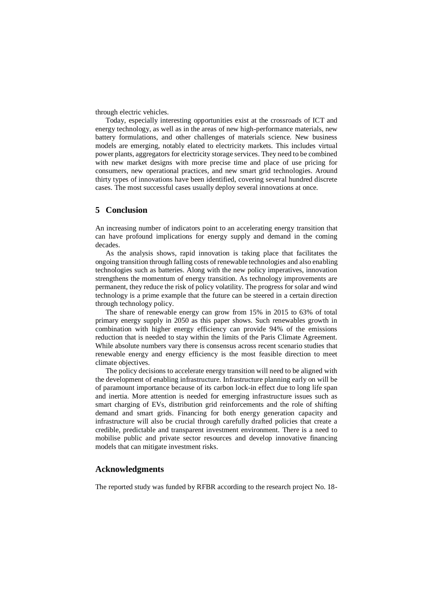through electric vehicles.

Today, especially interesting opportunities exist at the crossroads of ICT and energy technology, as well as in the areas of new high-performance materials, new battery formulations, and other challenges of materials science. New business models are emerging, notably elated to electricity markets. This includes virtual power plants, aggregators for electricity storage services. They need to be combined with new market designs with more precise time and place of use pricing for consumers, new operational practices, and new smart grid technologies. Around thirty types of innovations have been identified, covering several hundred discrete cases. The most successful cases usually deploy several innovations at once.

#### **5 Conclusion**

An increasing number of indicators point to an accelerating energy transition that can have profound implications for energy supply and demand in the coming decades.

As the analysis shows, rapid innovation is taking place that facilitates the ongoing transition through falling costs of renewable technologies and also enabling technologies such as batteries. Along with the new policy imperatives, innovation strengthens the momentum of energy transition. As technology improvements are permanent, they reduce the risk of policy volatility. The progress for solar and wind technology is a prime example that the future can be steered in a certain direction through technology policy.

The share of renewable energy can grow from 15% in 2015 to 63% of total primary energy supply in 2050 as this paper shows. Such renewables growth in combination with higher energy efficiency can provide 94% of the emissions reduction that is needed to stay within the limits of the Paris Climate Agreement. While absolute numbers vary there is consensus across recent scenario studies that renewable energy and energy efficiency is the most feasible direction to meet climate objectives.

The policy decisions to accelerate energy transition will need to be aligned with the development of enabling infrastructure. Infrastructure planning early on will be of paramount importance because of its carbon lock-in effect due to long life span and inertia. More attention is needed for emerging infrastructure issues such as smart charging of EVs, distribution grid reinforcements and the role of shifting demand and smart grids. Financing for both energy generation capacity and infrastructure will also be crucial through carefully drafted policies that create a credible, predictable and transparent investment environment. There is a need to mobilise public and private sector resources and develop innovative financing models that can mitigate investment risks.

#### **Acknowledgments**

The reported study was funded by RFBR according to the research project No. 18-